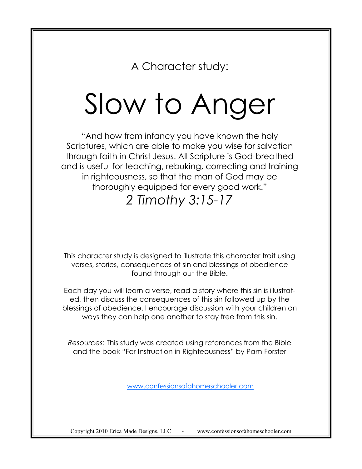A Character study:

# Slow to Anger

"And how from infancy you have known the holy Scriptures, which are able to make you wise for salvation through faith in Christ Jesus. All Scripture is God-breathed and is useful for teaching, rebuking, correcting and training in righteousness, so that the man of God may be thoroughly equipped for every good work."

# *2 Timothy 3:15-17*

This character study is designed to illustrate this character trait using verses, stories, consequences of sin and blessings of obedience found through out the Bible.

Each day you will learn a verse, read a story where this sin is illustrated, then discuss the consequences of this sin followed up by the blessings of obedience. I encourage discussion with your children on ways they can help one another to stay free from this sin.

*Resources:* This study was created using references from the Bible and the book "For Instruction in Righteousness" by Pam Forster

[www.confessionsofahomeschooler.com](http://confessionsofahomeschooler.blogspot.com/2009/11/mexican-casserole.html)

Copyright 2010 Erica Made Designs, LLC - www.confessionsofahomeschooler.com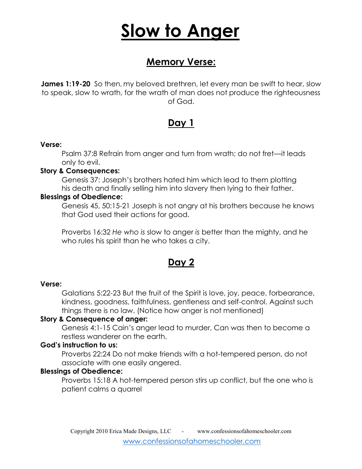# **Slow to Anger**

# **Memory Verse:**

**James 1:19-20** So then, my beloved brethren, let every man be swift to hear, slow to speak, slow to wrath, for the wrath of man does not produce the righteousness of God.

### **Day 1**

### **Verse:**

Psalm 37:8 Refrain from anger and turn from wrath; do not fret—it leads only to evil.

### **Story & Consequences:**

Genesis 37: Joseph's brothers hated him which lead to them plotting his death and finally selling him into slavery then lying to their father.

### **Blessings of Obedience:**

Genesis 45, 50:15-21 Joseph is not angry at his brothers because he knows that God used their actions for good.

Proverbs 16:32 *He who is* slow to anger *is* better than the mighty, and he who rules his spirit than he who takes a city.

# **Day 2**

### **Verse:**

Galatians 5:22-23 But the fruit of the Spirit is love, joy, peace, forbearance, kindness, goodness, faithfulness, gentleness and self-control. Against such things there is no law. (Notice how anger is not mentioned)

### **Story & Consequence of anger:**

Genesis 4:1-15 Cain's anger lead to murder, Can was then to become a restless wanderer on the earth.

### **God's instruction to us:**

Proverbs 22:24 Do not make friends with a hot-tempered person, do not associate with one easily angered.

### **Blessings of Obedience:**

Proverbs 15:18 A hot-tempered person stirs up conflict, but the one who is patient calms a quarrel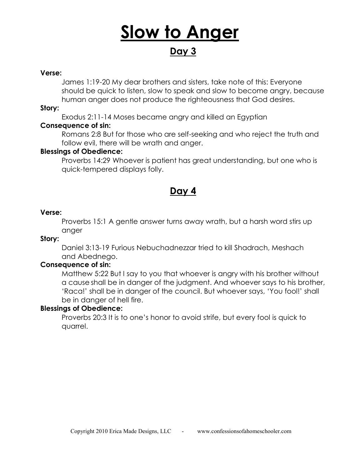# **Slow to Anger**

# **Day 3**

#### **Verse:**

James 1:19-20 My dear brothers and sisters, take note of this: Everyone should be quick to listen, slow to speak and slow to become angry, because human anger does not produce the righteousness that God desires.

### **Story:**

Exodus 2:11-14 Moses became angry and killed an Egyptian

### **Consequence of sin:**

Romans 2:8 But for those who are self-seeking and who reject the truth and follow evil, there will be wrath and anger.

### **Blessings of Obedience:**

Proverbs 14:29 Whoever is patient has great understanding, but one who is quick-tempered displays folly.

### **Day 4**

### **Verse:**

Proverbs 15:1 A gentle answer turns away wrath, but a harsh word stirs up anger

#### **Story:**

Daniel 3:13-19 Furious Nebuchadnezzar tried to kill Shadrach, Meshach and Abednego.

### **Consequence of sin:**

Matthew 5:22 But I say to you that whoever is angry with his brother without a cause shall be in danger of the judgment. And whoever says to his brother, 'Raca!' shall be in danger of the council. But whoever says, 'You fool!' shall be in danger of hell fire.

### **Blessings of Obedience:**

Proverbs 20:3 It is to one's honor to avoid strife, but every fool is quick to quarrel.